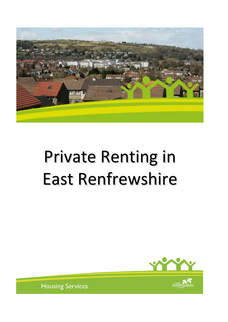

# Private Renting in East Renfrewshire





**Housing Services**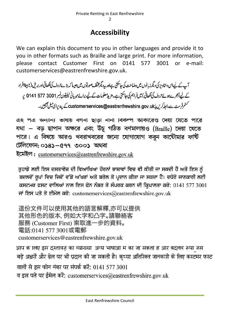# **Accessibility**

We can explain this document to you in other languages and provide it to you in other formats such as Braille and large print. For more information, please contact Customer First on 0141 577 3001 or e-mail: customerservices@eastrenfrewshire.gov.uk.

آپ کے لیےاس دستاویز کی دیگر زبانوں میں دضاحت کی جاسکتی ہےاور پید یگرمخلف صورتوں میں جیسا کہ بڑے حروف کی لکھائی اور بریل (نابیبناافراد کے لیے اُنجرےہوئے حروف کی لکھائی) میں فراہم کی جاسکتی ہے۔مزید معلومات کے لیے برائے مہربانی ٹیلیفون نمبر 3001 577 5141 پہ سٹم فرسٹ سے رابط کریں یا customerservices@eastrenfrewshire.gov.uk\_ کے پیدیرای میل بھیجیں۔

এ২ পত্র অন্যান্য ভাষায় বণনা ছাড়া নানা বিকল্প আকারেও দেয়া যেতে পারে যথা – বড় ছাপান অক্ষরে এবং উঁচু গঠিত বর্ণমালায়ও (Braille) দেয়া যেতে পারে। এ বিষয়ে আরও খবরাখবরের জন্যে যোগাযোগ করুন কাউৌমার ফর্ষি টেলিফোন: ০১৪১–৫৭৭ ৩০০১ অথবা

ইমেইল: customerservices@eastrenfrewshire.gov.uk

ਤੁਹਾਡੇ ਲਈ ਇਸ ਦਸਤਾਵੇਜ਼ ਦੀ ਵਿਆਖਿਆ ਹੋਰਨਾਂ ਭਾਸ਼ਾਵਾਂ ਵਿਚ ਵੀ ਕੀਤੀ ਜਾ ਸਕਦੀ ਹੈ ਅਤੇ ਇਸ ਨੂੰ ਬਦਲਵੇਂ ਰੂਪਾਂ ਵਿਚ ਜਿਵੇਂ ਵੱਡੇ ਅੱਖਰਾਂ ਅਤੇ ਬਰੇਲ ਤੇ ਪ੍ਰਦਾਨ ਕੀਤਾ ਜਾ ਸਕਦਾ ਹੈ। ਵਧੇਰੇ ਜਾਣਕਾਰੀ ਲਈ ਕਸਟਮਰ ਫਸਟ ਵਾਲਿਆਂ ਨਾਲ ਇਸ ਫੋਨ ਨੰਬਰ ਤੇ ਸੰਪਰਕ ਕਰਨ ਦੀ ਕ੍ਰਿਪਾਲਤਾ ਕਰੋ: 0141 577 3001 ਜਾਂ ਇਸ ਪਤੇ ਤੇ ਈਮੇਲ ਕਰੋ: customerservices@eastrenfrewshire.gov.uk

這份文件可以使用其他的語言解釋,亦可以提供 其他形色的版本, 例如大字和凸字。請聯絡客 服務 (Customer First) 索取進一步的資料。 電話:0141 577 3001或電郵 customerservices@eastrenfrewshire.gov.uk

आप क ालए इस दस्तावज़ का व्याख्या अन्य भाषाआ म का जा सकता ह आर बदलव रूपा जस बड़े अक्षरों और ब्रेल पर भी प्रदान की जा सकती है। कृप्या अतिरिक्त जानकारी के लिए कस्टमर फस्ट वालों से इस फोन नंबर पर संपर्क करें: 0141 577 3001 व इस पते पर ईमेल करें: customerservices@eastrenfrewshire.gov.uk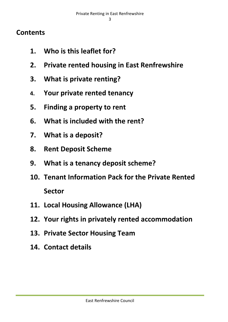# **Contents**

- **1. Who is this leaflet for?**
- **2. Private rented housing in East Renfrewshire**
- **3. What is private renting?**
- **4. Your private rented tenancy**
- **5. Finding a property to rent**
- **6. What is included with the rent?**
- **7. What is a deposit?**
- **8. Rent Deposit Scheme**
- **9. What is a tenancy deposit scheme?**
- **10. Tenant Information Pack for the Private Rented Sector**
- **11. Local Housing Allowance (LHA)**
- **12. Your rights in privately rented accommodation**
- **13. Private Sector Housing Team**
- **14. Contact details**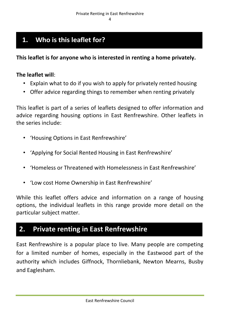# **1. Who is this leaflet for?**

**This leaflet is for anyone who is interested in renting a home privately.** 

#### **The leaflet will**:

- Explain what to do if you wish to apply for privately rented housing
- Offer advice regarding things to remember when renting privately

This leaflet is part of a series of leaflets designed to offer information and advice regarding housing options in East Renfrewshire. Other leaflets in the series include:

- 'Housing Options in East Renfrewshire'
- 'Applying for Social Rented Housing in East Renfrewshire'
- 'Homeless or Threatened with Homelessness in East Renfrewshire'
- 'Low cost Home Ownership in East Renfrewshire'

While this leaflet offers advice and information on a range of housing options, the individual leaflets in this range provide more detail on the particular subject matter.

# **2. Private renting in East Renfrewshire**

East Renfrewshire is a popular place to live. Many people are competing for a limited number of homes, especially in the Eastwood part of the authority which includes Giffnock, Thornliebank, Newton Mearns, Busby and Eaglesham.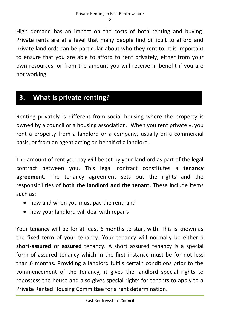High demand has an impact on the costs of both renting and buying. Private rents are at a level that many people find difficult to afford and private landlords can be particular about who they rent to. It is important to ensure that you are able to afford to rent privately, either from your own resources, or from the amount you will receive in benefit if you are not working.

# **3. What is private renting?**

Renting privately is different from social housing where the property is owned by a council or a housing association. When you rent privately, you rent a property from a landlord or a company, usually on a commercial basis, or from an agent acting on behalf of a landlord.

The amount of rent you pay will be set by your landlord as part of the legal contract between you. This legal contract constitutes a **tenancy agreement**. The tenancy agreement sets out the rights and the responsibilities of **both the landlord and the tenant.** These include items such as:

- how and when you must pay the rent, and
- how your landlord will deal with repairs

Your tenancy will be for at least 6 months to start with. This is known as the fixed term of your tenancy. Your tenancy will normally be either a **short-assured** or **assured** tenancy. A short assured tenancy is a special form of assured tenancy which in the first instance must be for not less than 6 months. Providing a landlord fulfils certain conditions prior to the commencement of the tenancy, it gives the landlord special rights to repossess the house and also gives special rights for tenants to apply to a Private Rented Housing Committee for a rent determination.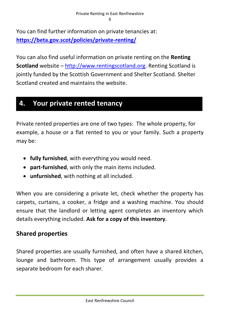You can find further information on private tenancies at: **<https://beta.gov.scot/policies/private-renting/>**

You can also find useful information on private renting on the **Renting Scotland** website – [http://www.rentingscotland.org.](http://www.rentingscotland.org/) Renting Scotland is jointly funded by the Scottish Government and Shelter Scotland. Shelter Scotland created and maintains the website.

## **4. Your private rented tenancy**

Private rented properties are one of two types: The whole property, for example, a house or a flat rented to you or your family. Such a property may be:

- **fully furnished**, with everything you would need.
- **part-furnished**, with only the main items included.
- **unfurnished**, with nothing at all included.

When you are considering a private let, check whether the property has carpets, curtains, a cooker, a fridge and a washing machine. You should ensure that the landlord or letting agent completes an inventory which details everything included. **Ask for a copy of this inventory**.

## **Shared properties**

Shared properties are usually furnished, and often have a shared kitchen, lounge and bathroom. This type of arrangement usually provides a separate bedroom for each sharer.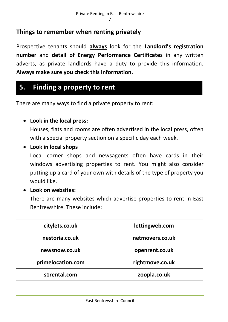## **Things to remember when renting privately**

Prospective tenants should **always** look for the **Landlord's registration number** and **detail of Energy Performance Certificates** in any written adverts, as private landlords have a duty to provide this information. **Always make sure you check this information.**

# **5. Finding a property to rent**

There are many ways to find a private property to rent:

## **Look in the local press:**

Houses, flats and rooms are often advertised in the local press, often with a special property section on a specific day each week.

## **Look in local shops**

Local corner shops and newsagents often have cards in their windows advertising properties to rent. You might also consider putting up a card of your own with details of the type of property you would like.

## **Look on websites:**

There are many websites which advertise properties to rent in East Renfrewshire. These include:

| citylets.co.uk    | lettingweb.com  |
|-------------------|-----------------|
| nestoria.co.uk    | netmovers.co.uk |
| newsnow.co.uk     | openrent.co.uk  |
| primelocation.com | rightmove.co.uk |
| s1rental.com      | zoopla.co.uk    |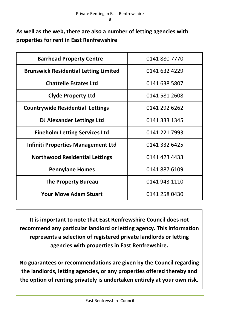**As well as the web, there are also a number of letting agencies with properties for rent in East Renfrewshire**

| <b>Barrhead Property Centre</b>              | 0141 880 7770 |
|----------------------------------------------|---------------|
| <b>Brunswick Residential Letting Limited</b> | 0141 632 4229 |
| <b>Chattelle Estates Ltd</b>                 | 0141 638 5807 |
| <b>Clyde Property Ltd</b>                    | 0141 581 2608 |
| <b>Countrywide Residential Lettings</b>      | 0141 292 6262 |
| <b>DJ Alexander Lettings Ltd</b>             | 0141 333 1345 |
| <b>Fineholm Letting Services Ltd</b>         | 0141 221 7993 |
| Infiniti Properties Management Ltd           | 0141 332 6425 |
| <b>Northwood Residential Lettings</b>        | 0141 423 4433 |
| <b>Pennylane Homes</b>                       | 0141 887 6109 |
| <b>The Property Bureau</b>                   | 0141 943 1110 |
| <b>Your Move Adam Stuart</b>                 | 0141 258 0430 |

**It is important to note that East Renfrewshire Council does not recommend any particular landlord or letting agency. This information represents a selection of registered private landlords or letting agencies with properties in East Renfrewshire.**

**No guarantees or recommendations are given by the Council regarding the landlords, letting agencies, or any properties offered thereby and the option of renting privately is undertaken entirely at your own risk.**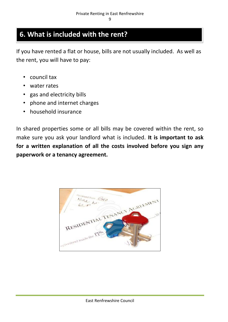## **6. What is included with the rent?**

If you have rented a flat or house, bills are not usually included. As well as the rent, you will have to pay:

- council tax
- water rates
- gas and electricity bills
- phone and internet charges
- household insurance

In shared properties some or all bills may be covered within the rent, so make sure you ask your landlord what is included. **It is important to ask for a written explanation of all the costs involved before you sign any paperwork or a tenancy agreement.**

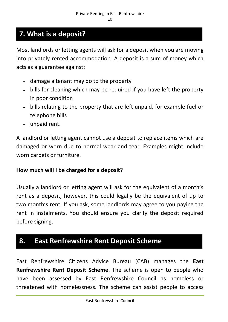# **7. What is a deposit?**

Most landlords or letting agents will ask for a deposit when you are moving into privately rented accommodation. A deposit is a sum of money which acts as a guarantee against:

- damage a tenant may do to the property
- bills for cleaning which may be required if you have left the property in poor condition
- bills relating to the property that are left unpaid, for example fuel or telephone bills
- unpaid rent.

A landlord or letting agent cannot use a deposit to replace items which are damaged or worn due to normal wear and tear. Examples might include worn carpets or furniture.

## **How much will I be charged for a deposit?**

Usually a landlord or letting agent will ask for the equivalent of a month's rent as a deposit, however, this could legally be the equivalent of up to two month's rent. If you ask, some landlords may agree to you paying the rent in instalments. You should ensure you clarify the deposit required before signing.

## **8. East Renfrewshire Rent Deposit Scheme**

East Renfrewshire Citizens Advice Bureau (CAB) manages the **East Renfrewshire Rent Deposit Scheme**. The scheme is open to people who have been assessed by East Renfrewshire Council as homeless or threatened with homelessness. The scheme can assist people to access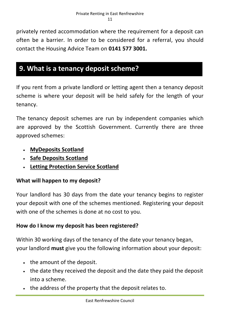privately rented accommodation where the requirement for a deposit can often be a barrier. In order to be considered for a referral, you should contact the Housing Advice Team on **0141 577 3001.**

# **9. What is a tenancy deposit scheme?**

If you rent from a private landlord or letting agent then a tenancy deposit scheme is where your deposit will be held safely for the length of your tenancy.

The tenancy deposit schemes are run by independent companies which are approved by the Scottish Government. Currently there are three approved schemes:

- **[MyDeposits Scotland](http://scotland.shelter.org.uk/get_advice/advice_topics/paying_for_a_home/deposits/tenancy_deposit_schemes/essential_links/mydeposits_scotland)**
- **[Safe Deposits Scotland](http://scotland.shelter.org.uk/get_advice/advice_topics/paying_for_a_home/deposits/tenancy_deposit_schemes/essential_links/safe_deposits_scotland)**
- **[Letting Protection Service Scotland](http://scotland.shelter.org.uk/get_advice/advice_topics/paying_for_a_home/deposits/tenancy_deposit_schemes/essential_links/letting_protection_scotland)**

## **What will happen to my deposit?**

Your landlord has 30 days from the date your tenancy begins to register your deposit with one of the schemes mentioned. Registering your deposit with one of the schemes is done at no cost to you.

## **How do I know my deposit has been registered?**

Within 30 working days of the tenancy of the date your tenancy began, your landlord **must** give you the following information about your deposit:

- the amount of the deposit.
- the date they received the deposit and the date they paid the deposit into a scheme.
- . the address of the property that the deposit relates to.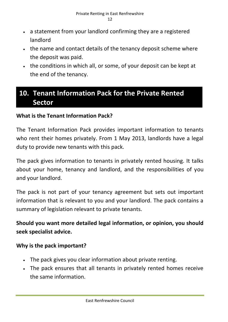- a statement from your landlord confirming they are a registered landlord
- the name and contact details of the tenancy deposit scheme where the deposit was paid.
- the conditions in which all, or some, of your deposit can be kept at the end of the tenancy.

# **10. Tenant Information Pack for the Private Rented Sector**

## **What is the Tenant Information Pack?**

The Tenant Information Pack provides important information to tenants who rent their homes privately. From 1 May 2013, landlords have a legal duty to provide new tenants with this pack.

The pack gives information to tenants in privately rented housing. It talks about your home, tenancy and landlord, and the responsibilities of you and your landlord.

The pack is not part of your tenancy agreement but sets out important information that is relevant to you and your landlord. The pack contains a summary of legislation relevant to private tenants.

## **Should you want more detailed legal information, or opinion, you should seek specialist advice.**

## **Why is the pack important?**

- The pack gives you clear information about private renting.
- The pack ensures that all tenants in privately rented homes receive the same information.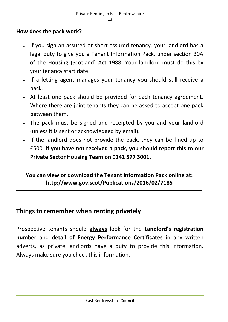## **How does the pack work?**

- If you sign an assured or short assured tenancy, your landlord has a legal duty to give you a Tenant Information Pack, under section 30A of the Housing (Scotland) Act 1988. Your landlord must do this by your tenancy start date.
- If a letting agent manages your tenancy you should still receive a pack.
- At least one pack should be provided for each tenancy agreement. Where there are joint tenants they can be asked to accept one pack between them.
- The pack must be signed and receipted by you and your landlord (unless it is sent or acknowledged by email).
- If the landlord does not provide the pack, they can be fined up to £500. **If you have not received a pack, you should report this to our Private Sector Housing Team on 0141 577 3001.**

**You can view or download the Tenant Information Pack online at: http://www.gov.scot/Publications/2016/02/7185**

## **Things to remember when renting privately**

Prospective tenants should **always** look for the **Landlord's registration number** and **detail of Energy Performance Certificates** in any written adverts, as private landlords have a duty to provide this information. Always make sure you check this information.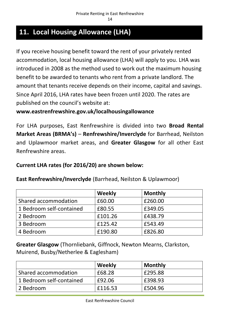# **11. Local Housing Allowance (LHA)**

If you receive housing benefit toward the rent of your privately rented accommodation, local housing allowance (LHA) will apply to you. LHA was introduced in 2008 as the method used to work out the maximum housing benefit to be awarded to tenants who rent from a private landlord. The amount that tenants receive depends on their income, capital and savings. Since April 2016, LHA rates have been frozen until 2020. The rates are published on the council's website at:

#### **www.eastrenfrewshire.gov.uk/localhousingallowance**

For LHA purposes, East Renfrewshire is divided into two **Broad Rental Market Areas (BRMA's)** – **Renfrewshire/Inverclyde** for Barrhead, Neilston and Uplawmoor market areas, and **Greater Glasgow** for all other East Renfrewshire areas.

## **Current LHA rates (for 2016/20) are shown below:**

| East Renfrewshire/Inverclyde (Barrhead, Neilston & Uplawmoor) |  |  |  |
|---------------------------------------------------------------|--|--|--|
|---------------------------------------------------------------|--|--|--|

|                          | Weekly  | <b>Monthly</b> |
|--------------------------|---------|----------------|
| Shared accommodation     | £60.00  | £260.00        |
| 1 Bedroom self-contained | £80.55  | £349.05        |
| 2 Bedroom                | £101.26 | £438.79        |
| 3 Bedroom                | £125.42 | £543.49        |
| 4 Bedroom                | £190.80 | £826.80        |

**Greater Glasgow** (Thornliebank, Giffnock, Newton Mearns, Clarkston, Muirend, Busby/Netherlee & Eaglesham)

|                          | Weekly  | <b>Monthly</b> |
|--------------------------|---------|----------------|
| Shared accommodation     | £68.28  | £295.88        |
| 1 Bedroom self-contained | £92.06  | £398.93        |
| 2 Bedroom                | £116.53 | £504.96        |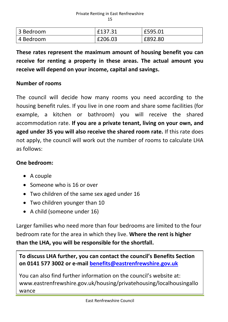| 3 Bedroom   | £137.31 | £595.01 |
|-------------|---------|---------|
| l 4 Bedroom | £206.03 | £892.80 |

**These rates represent the maximum amount of housing benefit you can receive for renting a property in these areas. The actual amount you receive will depend on your income, capital and savings.**

#### **Number of rooms**

The council will decide how many rooms you need according to the housing benefit rules. If you live in one room and share some facilities (for example, a kitchen or bathroom) you will receive the shared accommodation rate. **If you are a private tenant, living on your own, and aged under 35 you will also receive the shared room rate.** If this rate does not apply, the council will work out the number of rooms to calculate LHA as follows:

#### **One bedroom:**

- A couple
- Someone who is 16 or over
- Two children of the same sex aged under 16
- Two children younger than 10
- A child (someone under 16)

Larger families who need more than four bedrooms are limited to the four bedroom rate for the area in which they live. **Where the rent is higher than the LHA, you will be responsible for the shortfall.**

**To discuss LHA further, you can contact the council's Benefits Section on 0141 577 3002 or e-mail [benefits@eastrenfrewshire.gov.uk](mailto:benefits@eastrenfrewshire.gov.uk)**

You can also find further information on the council's website at: www.eastrenfrewshire.gov.uk/housing/privatehousing/localhousingallo wance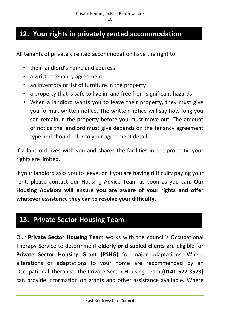# **12. Your rights in privately rented accommodation**

All tenants of privately rented accommodation have the right to:

- their landlord's name and address
- a written tenancy agreement
- an inventory or list of furniture in the property
- a property that is safe to live in, and free from significant hazards
- When a landlord wants you to leave their property, they must give you formal, written notice. The written notice will say how long you can remain in the property before you must move out. The amount of notice the landlord must give depends on the tenancy agreement type and should refer to your agreement detail.

If a landlord lives with you and shares the facilities in the property, your rights are limited.

If your landlord asks you to leave, or if you are having difficulty paying your rent, please contact our Housing Advice Team as soon as you can. **Our Housing Advisors will ensure you are aware of your rights and offer whatever assistance they can to resolve your difficulty.**

# **13. Private Sector Housing Team**

Our **Private Sector Housing Team** works with the council's Occupational Therapy Service to determine if **elderly or disabled clients** are eligible for **Private Sector Housing Grant (PSHG)** for major adaptations. Where alterations or adaptations to your home are recommended by an Occupational Therapist, the Private Sector Housing Team (**0141 577 3573)** can provide information on grants and other assistance available. Where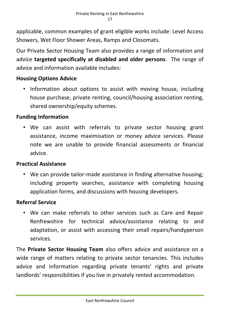applicable, common examples of grant eligible works include: Level Access Showers, Wet Floor Shower Areas, Ramps and Closomats.

Our Private Sector Housing Team also provides a range of information and advice **targeted specifically at disabled and older persons**. The range of advice and information available includes:

## **Housing Options Advice**

• Information about options to assist with moving house, including house purchase, private renting, council/housing association renting, shared ownership/equity schemes.

#### **Funding Information**

• We can assist with referrals to private sector housing grant assistance, income maximisation or money advice services. Please note we are unable to provide financial assessments or financial advice.

#### **Practical Assistance**

• We can provide tailor-made assistance in finding alternative housing; including property searches, assistance with completing housing application forms, and discussions with housing developers.

## **Referral Service**

• We can make referrals to other services such as Care and Repair Renfrewshire for technical advice/assistance relating to and adaptation, or assist with accessing their small repairs/handyperson services.

The **Private Sector Housing Team** also offers advice and assistance on a wide range of matters relating to private sector tenancies. This includes advice and information regarding private tenants' rights and private landlords' responsibilities if you live in privately rented accommodation.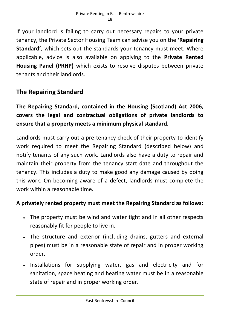If your landlord is failing to carry out necessary repairs to your private tenancy, the Private Sector Housing Team can advise you on the **'Repairing Standard'**, which sets out the standards your tenancy must meet. Where applicable, advice is also available on applying to the **Private Rented Housing Panel (PRHP)** which exists to resolve disputes between private tenants and their landlords.

## **The Repairing Standard**

**The Repairing Standard, contained in the Housing (Scotland) Act 2006, covers the legal and contractual obligations of private landlords to ensure that a property meets a minimum physical standard.**

Landlords must carry out a pre-tenancy check of their property to identify work required to meet the Repairing Standard (described below) and notify tenants of any such work. Landlords also have a duty to repair and maintain their property from the tenancy start date and throughout the tenancy. This includes a duty to make good any damage caused by doing this work. On becoming aware of a defect, landlords must complete the work within a reasonable time.

## **A privately rented property must meet the Repairing Standard as follows:**

- The property must be wind and water tight and in all other respects reasonably fit for people to live in.
- The structure and exterior (including drains, gutters and external pipes) must be in a reasonable state of repair and in proper working order.
- Installations for supplying water, gas and electricity and for sanitation, space heating and heating water must be in a reasonable state of repair and in proper working order.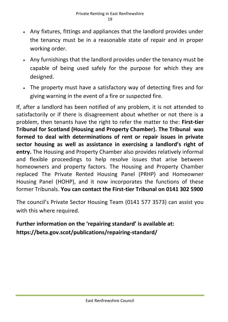- Any fixtures, fittings and appliances that the landlord provides under the tenancy must be in a reasonable state of repair and in proper working order.
- Any furnishings that the landlord provides under the tenancy must be capable of being used safely for the purpose for which they are designed.
- The property must have a satisfactory way of detecting fires and for giving warning in the event of a fire or suspected fire.

If, after a landlord has been notified of any problem, it is not attended to satisfactorily or if there is disagreement about whether or not there is a problem, then tenants have the right to refer the matter to the: **First-tier Tribunal for Scotland (Housing and Property Chamber). The Tribunal was formed to deal with determinations of rent or repair issues in private sector housing as well as assistance in exercising a landlord's right of entry.** The Housing and Property Chamber also provides relatively informal and flexible proceedings to help resolve issues that arise between homeowners and property factors. The Housing and Property Chamber replaced The Private Rented Housing Panel (PRHP) and Homeowner Housing Panel (HOHP), and it now incorporates the functions of these former Tribunals. **You can contact the First-tier Tribunal on 0141 302 5900**

The council's Private Sector Housing Team (0141 577 3573) can assist you with this where required.

## **Further information on the 'repairing standard' is available at: https://beta.gov.scot/publications/repairing-standard/**